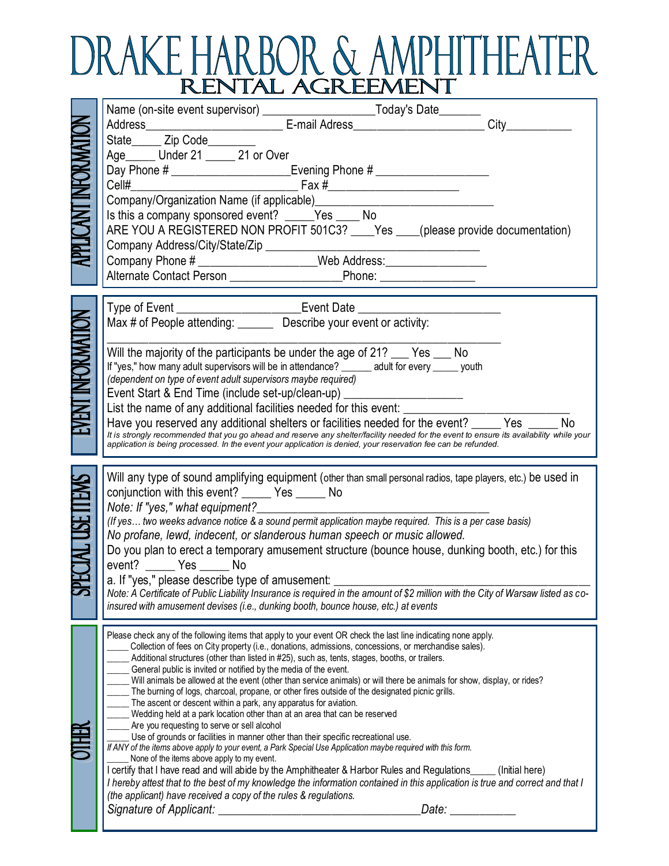## DRAKE HARBOR & AMPHITHEATER

| APPLICANT INFORMATION   | State_______ Zip Code_______                                                                                                                                                                                                                 |
|-------------------------|----------------------------------------------------------------------------------------------------------------------------------------------------------------------------------------------------------------------------------------------|
|                         | Age ______ Under 21 _____ 21 or Over                                                                                                                                                                                                         |
|                         | Day Phone # ______________________________Evening Phone # ______________________                                                                                                                                                             |
|                         | Cell#                                                                                                                                                                                                                                        |
|                         |                                                                                                                                                                                                                                              |
|                         | Is this a company sponsored event? _____Yes ____ No                                                                                                                                                                                          |
|                         | ARE YOU A REGISTERED NON PROFIT 501C3? ____Yes ____(please provide documentation)                                                                                                                                                            |
|                         |                                                                                                                                                                                                                                              |
|                         | Company Phone # _______________________Web Address:______________________________                                                                                                                                                            |
|                         |                                                                                                                                                                                                                                              |
|                         |                                                                                                                                                                                                                                              |
|                         | Type of Event ___________________________Event Date ____________________________<br>Max # of People attending: __________Describe your event or activity:                                                                                    |
| <b>EVENTINFORMATION</b> |                                                                                                                                                                                                                                              |
|                         | Will the majority of the participants be under the age of 21? ___ Yes ___ No                                                                                                                                                                 |
|                         | If "yes," how many adult supervisors will be in attendance? ______ adult for every _____ youth                                                                                                                                               |
|                         | (dependent on type of event adult supervisors maybe required)                                                                                                                                                                                |
|                         | Event Start & End Time (include set-up/clean-up) _______________________________                                                                                                                                                             |
|                         | List the name of any additional facilities needed for this event: ______________                                                                                                                                                             |
|                         | Have you reserved any additional shelters or facilities needed for the event? _____ Yes _____ No<br>It is strongly recommended that you go ahead and reserve any shelter/facility needed for the event to ensure its availability while your |
|                         | application is being processed. In the event your application is denied, your reservation fee can be refunded.                                                                                                                               |
|                         |                                                                                                                                                                                                                                              |
|                         | Will any type of sound amplifying equipment (other than small personal radios, tape players, etc.) be used in                                                                                                                                |
|                         | conjunction with this event? ______ Yes ______ No                                                                                                                                                                                            |
|                         |                                                                                                                                                                                                                                              |
|                         | (If yes two weeks advance notice & a sound permit application maybe required. This is a per case basis)<br>No profane, lewd, indecent, or slanderous human speech or music allowed.                                                          |
|                         | Do you plan to erect a temporary amusement structure (bounce house, dunking booth, etc.) for this                                                                                                                                            |
|                         | event? ______ Yes ______ No                                                                                                                                                                                                                  |
| PECIAL USE ITEMS        |                                                                                                                                                                                                                                              |
|                         |                                                                                                                                                                                                                                              |
|                         | insured with amusement devises (i.e., dunking booth, bounce house, etc.) at events                                                                                                                                                           |
|                         |                                                                                                                                                                                                                                              |
|                         | Please check any of the following items that apply to your event OR check the last line indicating none apply.<br>Collection of fees on City property (i.e., donations, admissions, concessions, or merchandise sales).                      |
|                         | Additional structures (other than listed in #25), such as, tents, stages, booths, or trailers.                                                                                                                                               |
|                         | General public is invited or notified by the media of the event.<br>Will animals be allowed at the event (other than service animals) or will there be animals for show, display, or rides?                                                  |
|                         | The burning of logs, charcoal, propane, or other fires outside of the designated picnic grills.                                                                                                                                              |
|                         | The ascent or descent within a park, any apparatus for aviation.<br>Wedding held at a park location other than at an area that can be reserved                                                                                               |
|                         | Are you requesting to serve or sell alcohol                                                                                                                                                                                                  |
|                         | Use of grounds or facilities in manner other than their specific recreational use.                                                                                                                                                           |
|                         | If ANY of the items above apply to your event, a Park Special Use Application maybe required with this form.<br>None of the items above apply to my event.                                                                                   |
|                         | I certify that I have read and will abide by the Amphitheater & Harbor Rules and Regulations_____(Initial here)                                                                                                                              |
|                         | I hereby attest that to the best of my knowledge the information contained in this application is true and correct and that I                                                                                                                |
|                         | (the applicant) have received a copy of the rules & regulations.<br>Signature of Applicant:<br>Date: <b>Date:</b>                                                                                                                            |
|                         | <u> 1980 - Johann John Stone, mars eta biztanleria (</u>                                                                                                                                                                                     |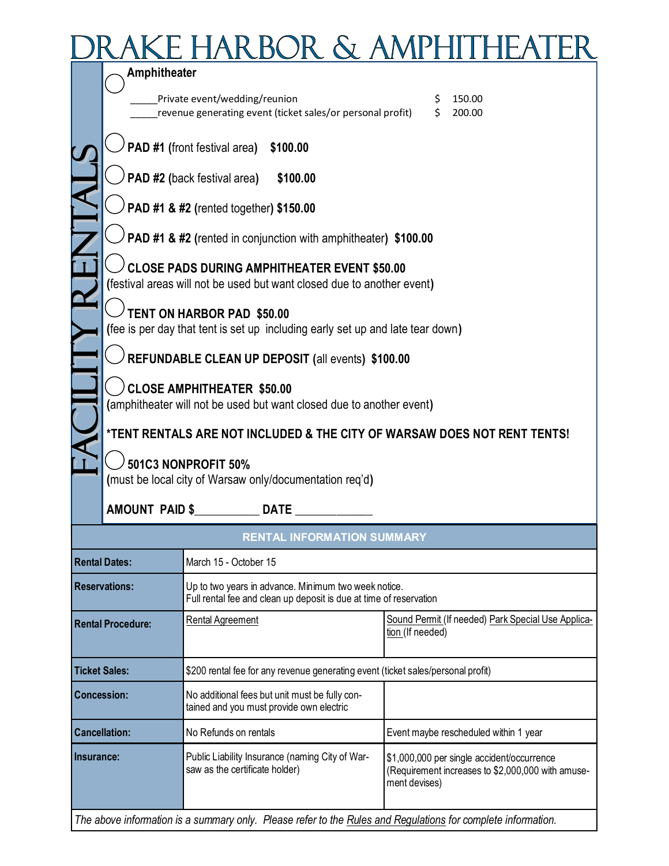## DRAKE HARBOR & AMPHITHEATER

|                          | Amphitheater                                                                                                                                                   |                                                                                                                            |                  |          |                                                                                                 |  |  |
|--------------------------|----------------------------------------------------------------------------------------------------------------------------------------------------------------|----------------------------------------------------------------------------------------------------------------------------|------------------|----------|-------------------------------------------------------------------------------------------------|--|--|
|                          |                                                                                                                                                                | Private event/wedding/reunion<br>revenue generating event (ticket sales/or personal profit)                                |                  | \$<br>Ś. | 150.00<br>200.00                                                                                |  |  |
|                          | PAD #1 (front festival area)<br>\$100.00                                                                                                                       |                                                                                                                            |                  |          |                                                                                                 |  |  |
|                          |                                                                                                                                                                | PAD #2 (back festival area)<br>\$100.00                                                                                    |                  |          |                                                                                                 |  |  |
|                          |                                                                                                                                                                | PAD #1 & #2 (rented together) \$150.00                                                                                     |                  |          |                                                                                                 |  |  |
|                          |                                                                                                                                                                | PAD #1 & #2 (rented in conjunction with amphitheater) \$100.00                                                             |                  |          |                                                                                                 |  |  |
|                          |                                                                                                                                                                | <b>CLOSE PADS DURING AMPHITHEATER EVENT \$50.00</b>                                                                        |                  |          |                                                                                                 |  |  |
|                          |                                                                                                                                                                | (festival areas will not be used but want closed due to another event)                                                     |                  |          |                                                                                                 |  |  |
|                          |                                                                                                                                                                | TENT ON HARBOR PAD \$50.00                                                                                                 |                  |          |                                                                                                 |  |  |
|                          |                                                                                                                                                                | (fee is per day that tent is set up including early set up and late tear down)                                             |                  |          |                                                                                                 |  |  |
|                          | REFUNDABLE CLEAN UP DEPOSIT (all events) \$100.00<br><b>CLOSE AMPHITHEATER \$50.00</b><br>(amphitheater will not be used but want closed due to another event) |                                                                                                                            |                  |          |                                                                                                 |  |  |
|                          |                                                                                                                                                                |                                                                                                                            |                  |          |                                                                                                 |  |  |
|                          |                                                                                                                                                                |                                                                                                                            |                  |          |                                                                                                 |  |  |
|                          | *TENT RENTALS ARE NOT INCLUDED & THE CITY OF WARSAW DOES NOT RENT TENTS!                                                                                       |                                                                                                                            |                  |          |                                                                                                 |  |  |
|                          |                                                                                                                                                                | 501C3 NONPROFIT 50%<br>(must be local city of Warsaw only/documentation req'd)                                             |                  |          |                                                                                                 |  |  |
|                          |                                                                                                                                                                | AMOUNT PAID \$<br><b>DATE</b>                                                                                              |                  |          |                                                                                                 |  |  |
|                          |                                                                                                                                                                | <b>RENTAL INFORMATION SUMMARY</b>                                                                                          |                  |          |                                                                                                 |  |  |
|                          | <b>Rental Dates:</b>                                                                                                                                           | March 15 - October 15                                                                                                      |                  |          |                                                                                                 |  |  |
| <b>Reservations:</b>     |                                                                                                                                                                | Up to two years in advance. Minimum two week notice.<br>Full rental fee and clean up deposit is due at time of reservation |                  |          |                                                                                                 |  |  |
| <b>Rental Procedure:</b> |                                                                                                                                                                | Rental Agreement                                                                                                           | tion (If needed) |          | Sound Permit (If needed) Park Special Use Applica-                                              |  |  |
| <b>Ticket Sales:</b>     |                                                                                                                                                                | \$200 rental fee for any revenue generating event (ticket sales/personal profit)                                           |                  |          |                                                                                                 |  |  |
| <b>Concession:</b>       |                                                                                                                                                                | No additional fees but unit must be fully con-<br>tained and you must provide own electric                                 |                  |          |                                                                                                 |  |  |
| <b>Cancellation:</b>     |                                                                                                                                                                | No Refunds on rentals                                                                                                      |                  |          | Event maybe rescheduled within 1 year                                                           |  |  |
| Insurance:               |                                                                                                                                                                | Public Liability Insurance (naming City of War-<br>saw as the certificate holder)                                          | ment devises)    |          | \$1,000,000 per single accident/occurrence<br>(Requirement increases to \$2,000,000 with amuse- |  |  |

*The above information is a summary only. Please refer to the [Rules and Regulations](http://www.gocolumbiamo.com/ParksandRec/Parks/Stephens_Lake/documents/AmphitheaterRulesandRegulations_rev_100112.pdf) for complete information.*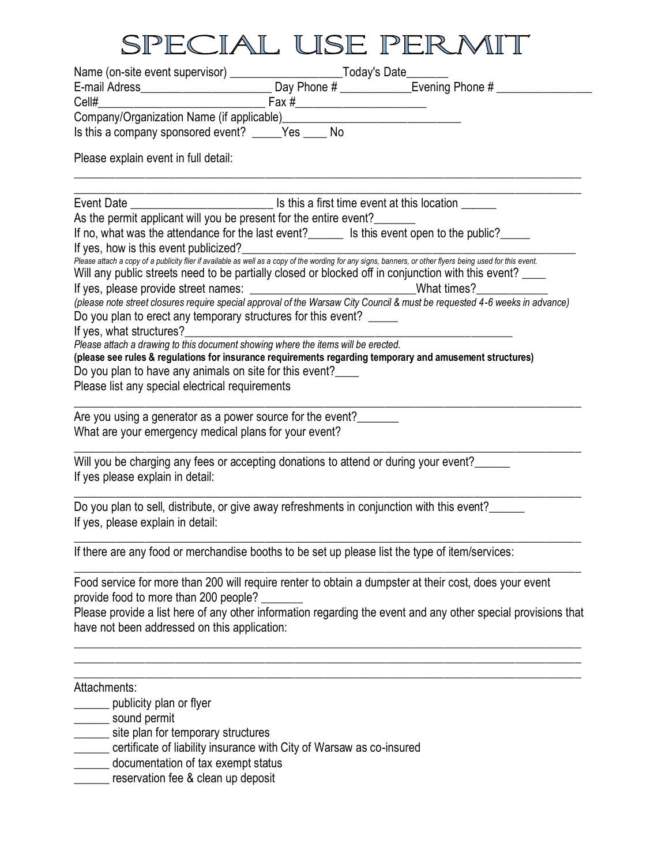## SPECIAL USE PERMIT

| Is this a company sponsored event? _____Yes ____No                                                                  |                                                                                                                                                                                                     |
|---------------------------------------------------------------------------------------------------------------------|-----------------------------------------------------------------------------------------------------------------------------------------------------------------------------------------------------|
| Please explain event in full detail:                                                                                |                                                                                                                                                                                                     |
|                                                                                                                     |                                                                                                                                                                                                     |
|                                                                                                                     | As the permit applicant will you be present for the entire event?<br>If no, what was the attendance for the last event?_______ Is this event open to the public?_____                               |
| If yes, how is this event publicized?                                                                               | If yes, how is this event publicized?<br>Please attach a copy of a publicity flier if available as well as a copy of the wording for any signs, banners, or other flyers being used for this event. |
|                                                                                                                     | Will any public streets need to be partially closed or blocked off in conjunction with this event?<br>If yes, please provide street names: ________________________________What times?_______       |
| Do you plan to erect any temporary structures for this event?                                                       | (please note street closures require special approval of the Warsaw City Council & must be requested 4-6 weeks in advance)                                                                          |
| Please attach a drawing to this document showing where the items will be erected.                                   |                                                                                                                                                                                                     |
|                                                                                                                     | (please see rules & regulations for insurance requirements regarding temporary and amusement structures)                                                                                            |
| Do you plan to have any animals on site for this event?                                                             |                                                                                                                                                                                                     |
| Please list any special electrical requirements                                                                     |                                                                                                                                                                                                     |
| Are you using a generator as a power source for the event?<br>What are your emergency medical plans for your event? |                                                                                                                                                                                                     |
| If yes please explain in detail:                                                                                    | Will you be charging any fees or accepting donations to attend or during your event?                                                                                                                |
| If yes, please explain in detail:                                                                                   | Do you plan to sell, distribute, or give away refreshments in conjunction with this event?                                                                                                          |
|                                                                                                                     | If there are any food or merchandise booths to be set up please list the type of item/services:                                                                                                     |
| provide food to more than 200 people?                                                                               | Food service for more than 200 will require renter to obtain a dumpster at their cost, does your event                                                                                              |
| have not been addressed on this application:                                                                        | Please provide a list here of any other information regarding the event and any other special provisions that                                                                                       |
| Attachments:                                                                                                        |                                                                                                                                                                                                     |
| publicity plan or flyer                                                                                             |                                                                                                                                                                                                     |
| sound permit                                                                                                        |                                                                                                                                                                                                     |
| site plan for temporary structures                                                                                  |                                                                                                                                                                                                     |
|                                                                                                                     | certificate of liability insurance with City of Warsaw as co-insured                                                                                                                                |

- \_\_\_\_\_\_ documentation of tax exempt status
- \_\_\_\_\_\_ reservation fee & clean up deposit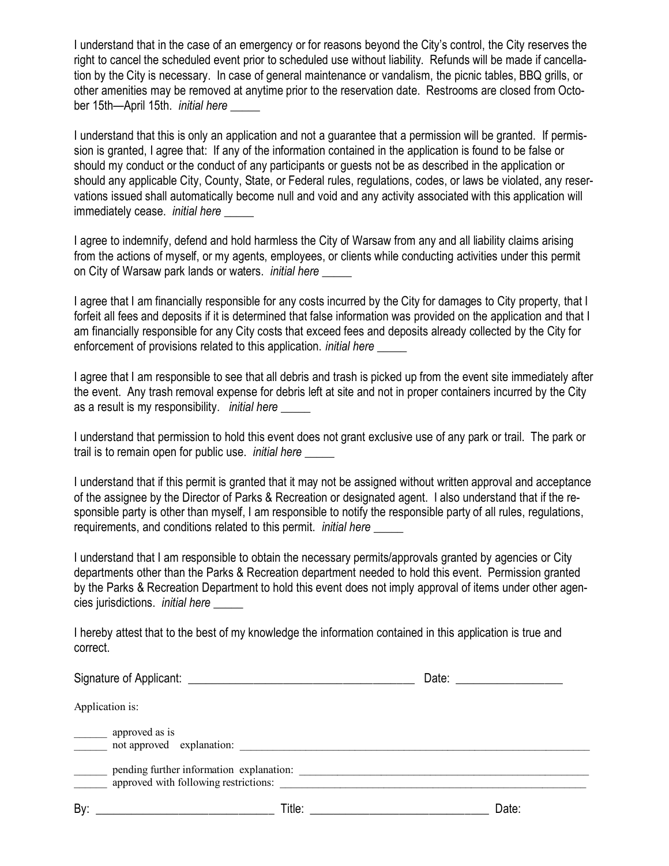I understand that in the case of an emergency or for reasons beyond the City's control, the City reserves the right to cancel the scheduled event prior to scheduled use without liability. Refunds will be made if cancellation by the City is necessary. In case of general maintenance or vandalism, the picnic tables, BBQ grills, or other amenities may be removed at anytime prior to the reservation date. Restrooms are closed from October 15th—April 15th. *initial here \_\_\_*\_\_

I understand that this is only an application and not a guarantee that a permission will be granted. If permission is granted, I agree that: If any of the information contained in the application is found to be false or should my conduct or the conduct of any participants or guests not be as described in the application or should any applicable City, County, State, or Federal rules, regulations, codes, or laws be violated, any reservations issued shall automatically become null and void and any activity associated with this application will immediately cease. *initial here \_\_\_*\_\_

I agree to indemnify, defend and hold harmless the City of Warsaw from any and all liability claims arising from the actions of myself, or my agents, employees, or clients while conducting activities under this permit on City of Warsaw park lands or waters. *initial here \_\_\_*\_\_

I agree that I am financially responsible for any costs incurred by the City for damages to City property, that I forfeit all fees and deposits if it is determined that false information was provided on the application and that I am financially responsible for any City costs that exceed fees and deposits already collected by the City for enforcement of provisions related to this application. *initial here \_\_\_*\_\_

I agree that I am responsible to see that all debris and trash is picked up from the event site immediately after the event. Any trash removal expense for debris left at site and not in proper containers incurred by the City as a result is my responsibility. *initial here \_\_\_*\_\_

I understand that permission to hold this event does not grant exclusive use of any park or trail. The park or trail is to remain open for public use. *initial here \_\_\_*\_\_

I understand that if this permit is granted that it may not be assigned without written approval and acceptance of the assignee by the Director of Parks & Recreation or designated agent. I also understand that if the responsible party is other than myself, I am responsible to notify the responsible party of all rules, regulations, requirements, and conditions related to this permit. *initial here \_\_\_*\_\_

I understand that I am responsible to obtain the necessary permits/approvals granted by agencies or City departments other than the Parks & Recreation department needed to hold this event. Permission granted by the Parks & Recreation Department to hold this event does not imply approval of items under other agencies jurisdictions. *initial here \_\_\_*\_\_

I hereby attest that to the best of my knowledge the information contained in this application is true and correct.

| Signature of Applicant: Signature of Applicant: |                                                                                   | Date: the contract of the contract of the contract of the contract of the contract of the contract of the contract of the contract of the contract of the contract of the contract of the contract of the contract of the cont |  |  |
|-------------------------------------------------|-----------------------------------------------------------------------------------|--------------------------------------------------------------------------------------------------------------------------------------------------------------------------------------------------------------------------------|--|--|
|                                                 | Application is:                                                                   |                                                                                                                                                                                                                                |  |  |
|                                                 | approved as is<br>not approved explanation:                                       |                                                                                                                                                                                                                                |  |  |
|                                                 | pending further information explanation:<br>approved with following restrictions: |                                                                                                                                                                                                                                |  |  |
| By:                                             | Title:                                                                            | Date:                                                                                                                                                                                                                          |  |  |